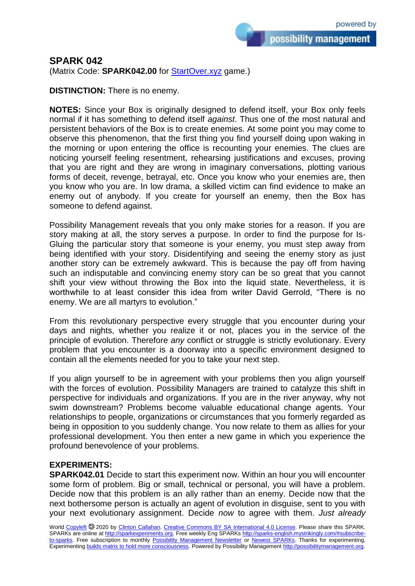possibility management

## **SPARK 042**

(Matrix Code: **SPARK042.00** for **StartOver.xyz** game.)

**DISTINCTION:** There is no enemy.

**NOTES:** Since your Box is originally designed to defend itself, your Box only feels normal if it has something to defend itself *against*. Thus one of the most natural and persistent behaviors of the Box is to create enemies. At some point you may come to observe this phenomenon, that the first thing you find yourself doing upon waking in the morning or upon entering the office is recounting your enemies. The clues are noticing yourself feeling resentment, rehearsing justifications and excuses, proving that you are right and they are wrong in imaginary conversations, plotting various forms of deceit, revenge, betrayal, etc. Once you know who your enemies are, then you know who you are. In low drama, a skilled victim can find evidence to make an enemy out of anybody. If you create for yourself an enemy, then the Box has someone to defend against.

Possibility Management reveals that you only make stories for a reason. If you are story making at all, the story serves a purpose. In order to find the purpose for Is-Gluing the particular story that someone is your enemy, you must step away from being identified with your story. Disidentifying and seeing the enemy story as just another story can be extremely awkward. This is because the pay off from having such an indisputable and convincing enemy story can be so great that you cannot shift your view without throwing the Box into the liquid state. Nevertheless, it is worthwhile to at least consider this idea from writer David Gerrold, "There is no enemy. We are all martyrs to evolution."

From this revolutionary perspective every struggle that you encounter during your days and nights, whether you realize it or not, places you in the service of the principle of evolution. Therefore *any* conflict or struggle is strictly evolutionary. Every problem that you encounter is a doorway into a specific environment designed to contain all the elements needed for you to take your next step.

If you align yourself to be in agreement with your problems then you align yourself with the forces of evolution. Possibility Managers are trained to catalyze this shift in perspective for individuals and organizations. If you are in the river anyway, why not swim downstream? Problems become valuable educational change agents. Your relationships to people, organizations or circumstances that you formerly regarded as being in opposition to you suddenly change. You now relate to them as allies for your professional development. You then enter a new game in which you experience the profound benevolence of your problems.

## **EXPERIMENTS:**

**SPARK042.01** Decide to start this experiment now. Within an hour you will encounter some form of problem. Big or small, technical or personal, you will have a problem. Decide now that this problem is an ally rather than an enemy. Decide now that the next bothersome person is actually an agent of evolution in disguise, sent to you with your next evolutionary assignment. Decide *now* to agree with them. *Just already* 

World [Copyleft](https://en.wikipedia.org/wiki/Copyleft) @ 2020 by [Clinton Callahan.](http://clintoncallahan.mystrikingly.com/) [Creative Commons BY SA International 4.0 License.](https://creativecommons.org/licenses/by-sa/4.0/) Please share this SPARK. SPARKs are online at [http://sparkexperiments.org.](http://sparks-english.mystrikingly.com/) Free weekly Eng SPARKs [http://sparks-english.mystrikingly.com/#subscribe](http://sparks-english.mystrikingly.com/#subscribe-to-sparks)[to-sparks.](http://sparks-english.mystrikingly.com/#subscribe-to-sparks) Free subscription to monthly [Possibility Management Newsletter](https://possibilitymanagement.org/news/) or Newest [SPARKs.](https://www.clintoncallahan.org/newsletter-1) Thanks for experimenting. Experimentin[g builds matrix to hold more consciousness.](http://spaceport.mystrikingly.com/) Powered by Possibility Managemen[t http://possibilitymanagement.org.](http://possibilitymanagement.org/)